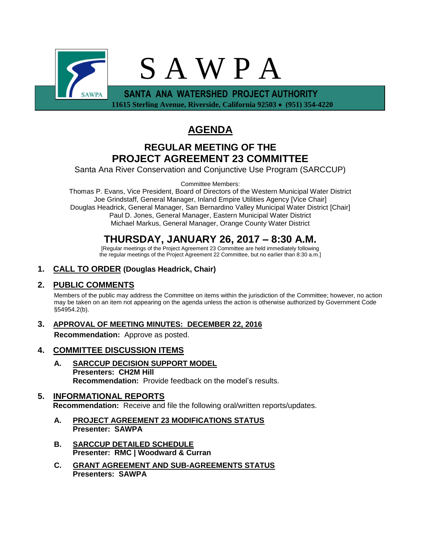

# **AGENDA**

## **REGULAR MEETING OF THE PROJECT AGREEMENT 23 COMMITTEE**

Santa Ana River Conservation and Conjunctive Use Program (SARCCUP)

Committee Members:

Thomas P. Evans, Vice President, Board of Directors of the Western Municipal Water District Joe Grindstaff, General Manager, Inland Empire Utilities Agency [Vice Chair] Douglas Headrick, General Manager, San Bernardino Valley Municipal Water District [Chair] Paul D. Jones, General Manager, Eastern Municipal Water District Michael Markus, General Manager, Orange County Water District

# **THURSDAY, JANUARY 26, 2017 – 8:30 A.M.**

[Regular meetings of the Project Agreement 23 Committee are held immediately following the regular meetings of the Project Agreement 22 Committee, but no earlier than 8:30 a.m.]

### **1. CALL TO ORDER (Douglas Headrick, Chair)**

### **2. PUBLIC COMMENTS**

Members of the public may address the Committee on items within the jurisdiction of the Committee; however, no action may be taken on an item not appearing on the agenda unless the action is otherwise authorized by Government Code §54954.2(b).

# **3. APPROVAL OF MEETING MINUTES: DECEMBER 22, 2016**

**Recommendation:** Approve as posted.

### **4. COMMITTEE DISCUSSION ITEMS**

**A. SARCCUP DECISION SUPPORT MODEL Presenters: CH2M Hill Recommendation:** Provide feedback on the model's results.

### **5. INFORMATIONAL REPORTS Recommendation:** Receive and file the following oral/written reports/updates.

- **A. PROJECT AGREEMENT 23 MODIFICATIONS STATUS Presenter: SAWPA**
- **B. SARCCUP DETAILED SCHEDULE Presenter: RMC | Woodward & Curran**
- **C. GRANT AGREEMENT AND SUB-AGREEMENTS STATUS Presenters: SAWPA**